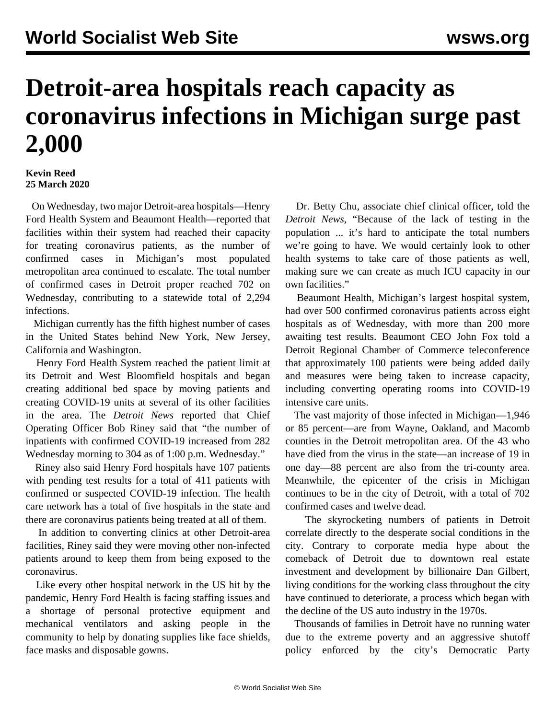## **Detroit-area hospitals reach capacity as coronavirus infections in Michigan surge past 2,000**

## **Kevin Reed 25 March 2020**

 On Wednesday, two major Detroit-area hospitals—Henry Ford Health System and Beaumont Health—reported that facilities within their system had reached their capacity for treating coronavirus patients, as the number of confirmed cases in Michigan's most populated metropolitan area continued to escalate. The total number of confirmed cases in Detroit proper reached 702 on Wednesday, contributing to a statewide total of 2,294 infections.

 Michigan currently has the fifth highest number of cases in the United States behind New York, New Jersey, California and Washington.

 Henry Ford Health System reached the patient limit at its Detroit and West Bloomfield hospitals and began creating additional bed space by moving patients and creating COVID-19 units at several of its other facilities in the area. The *Detroit News* reported that Chief Operating Officer Bob Riney said that "the number of inpatients with confirmed COVID-19 increased from 282 Wednesday morning to 304 as of 1:00 p.m. Wednesday."

 Riney also said Henry Ford hospitals have 107 patients with pending test results for a total of 411 patients with confirmed or suspected COVID-19 infection. The health care network has a total of five hospitals in the state and there are coronavirus patients being treated at all of them.

 In addition to converting clinics at other Detroit-area facilities, Riney said they were moving other non-infected patients around to keep them from being exposed to the coronavirus.

 Like every other hospital network in the US hit by the pandemic, Henry Ford Health is facing staffing issues and a shortage of personal protective equipment and mechanical ventilators and asking people in the community to help by donating supplies like face shields, face masks and disposable gowns.

 Dr. Betty Chu, associate chief clinical officer, told the *Detroit News,* "Because of the lack of testing in the population ... it's hard to anticipate the total numbers we're going to have. We would certainly look to other health systems to take care of those patients as well, making sure we can create as much ICU capacity in our own facilities."

 Beaumont Health, Michigan's largest hospital system, had over 500 confirmed coronavirus patients across eight hospitals as of Wednesday, with more than 200 more awaiting test results. Beaumont CEO John Fox told a Detroit Regional Chamber of Commerce teleconference that approximately 100 patients were being added daily and measures were being taken to increase capacity, including converting operating rooms into COVID-19 intensive care units.

 The vast majority of those infected in Michigan—1,946 or 85 percent—are from Wayne, Oakland, and Macomb counties in the Detroit metropolitan area. Of the 43 who have died from the virus in the state—an increase of 19 in one day—88 percent are also from the tri-county area. Meanwhile, the epicenter of the crisis in Michigan continues to be in the city of Detroit, with a total of 702 confirmed cases and twelve dead.

 The skyrocketing numbers of patients in Detroit correlate directly to the desperate social conditions in the city. Contrary to corporate media hype about the comeback of Detroit due to downtown real estate investment and development by billionaire Dan Gilbert, living conditions for the working class throughout the city have continued to deteriorate, a process which began with the decline of the US auto industry in the 1970s.

 Thousands of families in Detroit have no running water due to the extreme poverty and an aggressive shutoff policy enforced by the city's Democratic Party